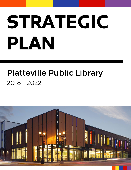# STRATEGIC PLAN

# Platteville Public Library 2018 - 2022

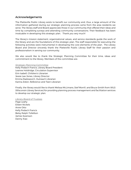#### Acknowledgements

The Platteville Public Library exists to benefit our community and, thus, a large amount of the information gathered during our strategic planning process came from the area residents we serve. The library staff and Board appreciate those in our community that offered their ideas and time by completing surveys and attending community conversations. Their feedback has been invaluable in developing this strategic plan. Thank you very much!

The library's mission statement, organizational values, and service standards guide the work of the library and are the foundations of this strategic plan. The staff responsible for executing the following activities were instrumental in developing the core elements of the plan. The Library Board and Director sincerely thank the Platteville Public Library Staff for their passion and professionalism in serving our community.

We also would like to thank the Strategic Planning Committee for their time, ideas and commitment to the library. Members of the committee are:

#### *Strategic Planning Committee*

Kelly Podach Francis, Library Board President Leanne Holdridge, Circulation Supervisor Erin Isabell, Children's Librarian Jessie Lee-Jones, Library Director Emma Radosevich, Outreach Librarian Karina Zidon, Reference and Teen Librarian

Finally, the library would like to thank Melissa McLimans, Stef Morrill, and Bruce Smith from WiLS (Wisconsin Library Services) for providing planning process management and facilitation services to develop our strategic plan.

#### *Library Board of Trustees*

Page Leahy Eileen Nickels Anne Otto Kelly Podach Francis Betsy Ralph-Tollefson James Swenson Danny Xiao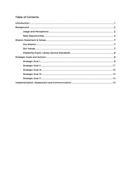# **Table of Contents**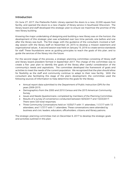#### Introduction

On June 27, 2017, the Platteville Public Library opened the doors to a new, 22,000 square foot facility, and opened the doors to a new chapter of library service in Southwest Wisconsin. The library board and staff developed this strategic plan to ensure we maximize the promise of the new library building.

Knowing the major undertaking of designing and building a new library was on the horizon, the development of this strategic plan was scheduled over two time periods, one before and one after the library was built. The first stage, with the guidance of the consultant, involved a halfday session with the library staff on November 20, 2015 to develop a mission statement and organizational values. A second session was held on January 15, 2016 to create service standards for staff. These foundations serve as guiding principles to reach the goals of this plan, and to guide the services of the library into the future.

For the second stage of the process, a strategic planning committee consisting of library staff and library board president formed in September 2017. The charge of the committee was to create a five- year plan to identify the goals of the library after careful consideration of the community's needs and aspirations. The committee developed the framework of goals and activities to meet the needs of the current population. We recognized that the plan should allow for flexibility as the staff and community continue to adapt to their new facility. With the consultant also facilitating this stage of the plan's development, the committee used the following sources of information to help determine the goals for the library:

- Annual report data submitted to the Department of Public Instruction (DPI) for the years 2009-2015.
- Demographics from the 2000 and 2010 Census and the 2015 American Community Survey.
- Issues and Needs Questionnaire, completed by members of the Planning Committee.
- Results of a survey of convenience conducted between 9/25/2017 and 10/23/2017. There were 320 total responses.
- Three Community Conversations held on 10/30/17 with 11 attendees, 11/1/17 with 13 attendees, and 11/7/17 with 11 attendees. These conversations were attended by business and civic leaders, educators, officeholders, citizens and library patrons.

The strategic planning committee met on December 6, 2017 to develop the strategic goals and activities outlined in this plan.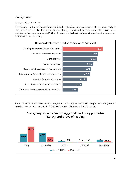# Background

#### *Usage and perceptions*

The data and information gathered during the planning process shows that the community is very satisfied with the Platteville Public Library. Above all, patrons value the service and assistance they receive from staff. The following graph displays the service satisfaction responses to the community survey.



One cornerstone that will never change for the library in the community is its literacy-based mission. Survey respondents feel Platteville Public Library excels in this area.

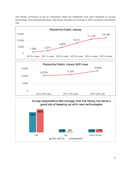The library continues to be an important place for Platteville and area residents to access technology. Over the past few years, the library has seen an increase in WiFi, computer, and ebook use.





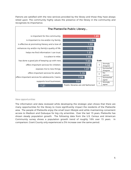Patrons are satisfied with the new services provided by the library and those they have always relied upon. The community highly values the presence of the library in the community and recognizes its importance.



#### *New opportunities*

The information and data reviewed while developing the strategic plan shows that there are many opportunities for the library to more significantly impact the residents of the Platteville area. The people of Platteville enjoy the small town lifestyle and while maintaining convenient access to Madison and Dubuque for big city amenities. Over the last 15 years, Platteville has shown steady population growth. The following data from the U.S. Census and American Community survey shows a population growth trend of roughly 18% over 15 years. In comparison, Grant County only experienced a 3% increase over the same period.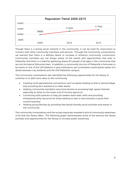

Though there is a strong social network in the community, it can be hard for newcomers to connect with other community members and services. Through the community conversations, we learned that there is a definite desire to increase or enhance community connections. Community members are not always aware of the events and opportunities that exist in Platteville and there is a need for gathering places for people of all ages in the community that are not the typical Wisconsin bars. In addition, a community the size of Platteville is fortunate to be home to one of the UW System's 4-year institutions, yet conversation participants spoke of a divide between city residents and the UW-Platteville campus.

The community conversations also identified the following opportunities for the library to continue or to add more value to the community:

- Creating multi-generational connections, such as adults reading to kids or teens/college kids providing tech assistance to older adults.
- Helping community members overcome barriers to accessing high-speed internet, especially to those on the lower end of income spectrum.
- Connecting with partners to help job seekers learn basic skills and providing entrepreneurship resources for those seeking to start a new business or grow their current business.
- Helping young families by providing free family-friendly social activities and events in the community.

The community conversations and the survey responses revealed a lack of community awareness of all that the library offers. The following graph demonstrates some of the services the library provides and opportunities for the library to increase public awareness.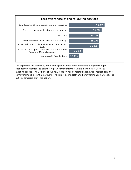

The expanded library facility offers new opportunities, from increasing programming to expanding collections to connecting our community through making better use of our meeting spaces. The visibility of our new location has generated a renewed interest from the community and potential partners. The library board, staff, and library foundation are eager to put this strategic plan into action.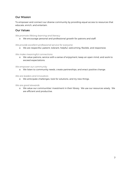#### Our Mission

To empower and connect our diverse community by providing equal access to resources that educate, enrich, and entertain.

#### Our Values

*We promote lifelong learning and literacy*

o We encourage personal and professional growth for patrons and staff.

*We provide excellent professional service for everyone*

o We are respectful, patient, tolerant, helpful, welcoming, flexible, and responsive.

*We make meaningful connections*

o We value patrons, service with a sense of enjoyment, keep an open mind, and work to exceed expectations.

*We empower our community*

o We listen to community needs, create partnerships, and enact positive change.

*We are leaders and innovators*

o We anticipate challenges, look for solutions, and try new things.

*We are good stewards*

o We value our communities' investment in their library. We use our resources wisely. We are efficient and productive.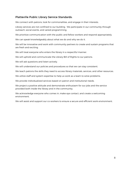#### Platteville Public Library Service Standards:

We connect with patrons, look for commonalities, and engage in their interests.

Library services are not confined to our building. We participate in our community through outreach, social events, and varied programming.

We prioritize communication with the public and fellow workers and respond appropriately.

We can speak knowledgeably about what we do and why we do it.

We will be innovative and work with community partners to create and sustain programs that are fresh and exciting.

We will treat everyone who enters the library in a respectful manner.

We will uphold and communicate the Library Bill of Rights to our patrons.

We will ask questions and listen actively.

We will understand our policies and procedures so that we can stay consistent.

We teach patrons the skills they need to access library materials, services, and other resources.

We utilize staff and system expertise to help us work as a team to solve problems.

We provide individualized services based on patron and institutional needs.

We project a positive attitude and demonstrate enthusiasm for our jobs and the service provided both inside the library and in the community.

We acknowledge everyone who comes in, make eye contact, and create a welcoming environment.

We will assist and support our co-workers to ensure a secure and efficient work environment.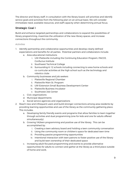The director and library staff, in consultation with the library board, will prioritize and identify service goals and activities from the following plan on an annual basis. We will consider immediate need, available resources, and staff capacity when determining annual focus.

# Strategic Goal I

Build and enhance targeted partnerships and collaborations to expand the possibilities of library programming, maximize the utilization of the new library spaces, and increase connections throughout the community.

- 1. Identify partnership and collaborative opportunities and develop clearly defined expectations and benefits for all parties. Potential partners and collaborators include:
	- a. Area educational institutions
		- i. UW-Platteville including the Continuing Education Program, PACCE, Confucius Institute
		- ii. Southwest Technical College
		- iii. Surrounding K-12 schools including connecting to area home schools and co-curricular activities at the high school such as the technology and robotics clubs
	- b. Community businesses and job seekers
		- i. Platteville Regional Chamber
		- ii. Platteville Main St. Program
		- iii. UW-Extension Small Business Development Center
		- iv. Platteville Business Incubator
		- v. Southwest Job Center
	- c. Civic organizations
	- d. Municipal departments
	- e. Social service agencies and organizations
- 2. Reach new and infrequent users and build stronger connections among area residents by providing learning opportunities and use of the library as the community gathering place. This includes:
	- a. Developing family friendly events and programs that allow families to learn together through activities and dual programming (one for kids and one for adults offered simultaneously).
	- b. Growing YA/teen programming and positive use of the library. This can be accomplished by:
		- i. Creating a teen advisory board and holding a teen community conversation
		- ii. Using the community room or children's space for dedicated teen time
		- iii. Providing passive programming opportunities
		- iv. Intentional interaction with teen patrons to foster positive use of the library and build teen ownership of their dedicated space
	- c. Increasing adult-focused programming and events to provide alternative opportunities for adults to connect and gather at the library as a third place outside of home and work.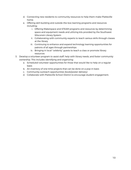- d. Connecting new residents to community resources to help them make Platteville home.
- e. Offering skill-building and outside-the-box learning programs and resources including:
	- i. Offering Makerspace and STEAM programs and resources by determining space and equipment needs and utilizing kits provided by the Southwest Wisconsin Library System
	- ii. Collaborating with community experts to teach various skills through classes at the library
	- iii. Continuing to enhance and expand technology learning opportunities for patrons of all ages through partnerships
	- iv. Bringing in local "celebrity" guests to teach a class or promote library resources
- 3. Develop a volunteer program to assist staff, help with library needs, and foster community ownership. This includes identifying and organizing:
	- a. Scheduled volunteer opportunities for those that would like to help on a regular basis
	- b. An inventory of one-time projects that can be done on a pop-in basis
	- c. Community outreach opportunities (book/poster delivery)
	- d. Collaborate with Platteville School District to encourage student engagement.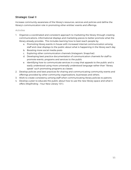# Strategic Goal II

Increase community awareness of the library's resources, services and policies and define the library's communication role in promoting other entities' events and offerings.

- 1. Organize a coordinated and consistent approach to marketing the library through creating communications, informational displays and marketing pieces to better promote what the library already provides. This includes learning how to best reach people by:
	- a. Promoting library events in-house with increased internal communication among staff and clear displays to the public about what is happening in the library each day
	- b. Boosting more social media posts
	- c. Exploring other communication channels (Instagram, Snapchat)
	- d. Developing best practice documentation of communication channels for staff to promote events, programs and services to the public
	- e. Identifying how to communicate services in a way that appeals to the public and is easily understood using more universally understood language rather than "library speak" such promoting programs as classes
- 2. Develop policies and best practices for sharing and communicating community events and offerings provided by other community organizations, businesses and others.
- 3. Work to create consistency among staff when communicating library policies to patrons.
- 4. Develop a plan to educate the public about how to use the new library space and what it offers (Wayfinding – Your New Library 101).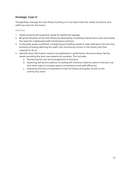### Strategic Goal III

Thoughtfully manage the new library building so it can best meet the needs of patrons and staff now and into the future.

- 1. Assess existing and potential needs for additional signage.
- 2. Be good stewards of the new library by developing a building maintenance plan and assess the need for a dedicated staff maintenance position.
- 3. Continually assess workflows, scheduling and staffing needs to help staff grow into the new building including defining the staff's role monitoring minors in the library and their capacity to do so.
- 4. Identify what information needs to be gathered to guide future decisions about facility needs providing the best user experience possible. This includes:
	- a. Monitoring the use and arrangement of furniture
	- b. Exploring self-service options including self-checkout stations, patron hold pick-up, and other ways to increase patron convenience and staff efficiency
	- c. Assessing the hours of operation of the full library and public access to the community room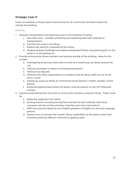## Strategic Goal IV

Foster accessibility to library spaces and services for all community members inside and outside the building.

- 1. Evaluate transportation and physical access to the building including:
	- a. New bike racks consider promoting and rewarding alternate methods of transportation
	- b. Post the bus route in the library
	- c. Explore the need for crosswalks by the library
	- d. Analyze parking challenges and explore designated library only parking spots on the street or in the parking lot
- 2. Provide and promote library outreach and services outside of the building. Ideas for this include:
	- a. Investigating acquiring a book bike to serve as a mobile pop-up library around the city
	- b. Utilizing volunteers to deliver to homebound patrons
	- c. Visiting local daycares
	- d. Working with other organizations to schedule visits by library staff, such as at the senior center
	- e. Setting up a pop-up library at community events (farmer's market, parades, school events)
	- f. Exploring opportunities where the library could be present on the UW-Platteville campus
- 3. Examine potential barriers that exist to community members using the library. These could be:
	- a. Requiring registration for events
	- b. Existing policies including issuing fines and fees for late materials, restricting computer use due to fines and fees, meeting room hours and policies
	- c. Difficulty using the library by non-English speakers or English as a Second Language patrons
	- d. Explore how to increase the number library cardholders at the grade school level including potential different methods for getting cards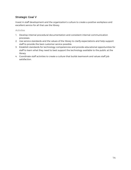## Strategic Goal V

Invest in staff development and the organization's culture to create a positive workplace and excellent service for all that use the library.

- 1. Develop internal procedural documentation and consistent internal communication processes.
- 2. Use service standards and the values of the library to clarify expectations and help support staff to provide the best customer service possible.
- 3. Establish standards for technology competencies and provide educational opportunities for staff to learn what they need to best support the technology available to the public at the library.
- 4. Coordinate staff activities to create a culture that builds teamwork and values staff job satisfaction.